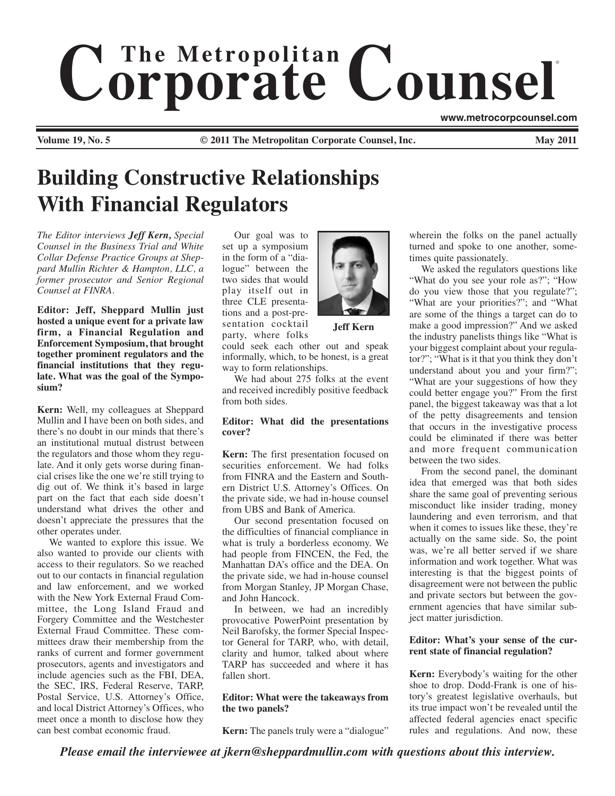# $$ ® **www.metrocorpcounsel.com**

**Volume 19, No. 5 C** 2011 The Metropolitan Corporate Counsel, Inc.

# **Building Constructive Relationships With Financial Regulators**

*The Editor interviews Jeff Kern, Special Counsel in the Business Trial and White Collar Defense Practice Groups at Sheppard Mullin Richter & Hampton, LLC, a former prosecutor and Senior Regional Counsel at FINRA.*

**Editor: Jeff, Sheppard Mullin just hosted a unique event for a private law firm, a Financial Regulation and Enforcement Symposium, that brought together prominent regulators and the financial institutions that they regulate. What was the goal of the Symposium?**

**Kern:** Well, my colleagues at Sheppard Mullin and I have been on both sides, and there's no doubt in our minds that there's an institutional mutual distrust between the regulators and those whom they regulate. And it only gets worse during financial crises like the one we're still trying to dig out of. We think it's based in large part on the fact that each side doesn't understand what drives the other and doesn't appreciate the pressures that the other operates under.

We wanted to explore this issue. We also wanted to provide our clients with access to their regulators. So we reached out to our contacts in financial regulation and law enforcement, and we worked with the New York External Fraud Committee, the Long Island Fraud and Forgery Committee and the Westchester External Fraud Committee. These committees draw their membership from the ranks of current and former government prosecutors, agents and investigators and include agencies such as the FBI, DEA, the SEC, IRS, Federal Reserve, TARP, Postal Service, U.S. Attorney's Office, and local District Attorney's Offices, who meet once a month to disclose how they can best combat economic fraud.

Our goal was to set up a symposium in the form of a "dialogue" between the two sides that would play itself out in three CLE presentations and a post-presentation cocktail



**Jeff Kern**

party, where folks could seek each other out and speak informally, which, to be honest, is a great way to form relationships.

We had about 275 folks at the event and received incredibly positive feedback from both sides.

# **Editor: What did the presentations cover?**

**Kern:** The first presentation focused on securities enforcement. We had folks from FINRA and the Eastern and Southern District U.S. Attorney's Offices. On the private side, we had in-house counsel from UBS and Bank of America.

Our second presentation focused on the difficulties of financial compliance in what is truly a borderless economy. We had people from FINCEN, the Fed, the Manhattan DA's office and the DEA. On the private side, we had in-house counsel from Morgan Stanley, JP Morgan Chase, and John Hancock.

In between, we had an incredibly provocative PowerPoint presentation by Neil Barofsky, the former Special Inspector General for TARP, who, with detail, clarity and humor, talked about where TARP has succeeded and where it has fallen short.

# **Editor: What were the takeaways from the two panels?**

**Kern:** The panels truly were a "dialogue"

wherein the folks on the panel actually turned and spoke to one another, sometimes quite passionately.

We asked the regulators questions like "What do you see your role as?"; "How do you view those that you regulate?"; "What are your priorities?"; and "What are some of the things a target can do to make a good impression?" And we asked the industry panelists things like "What is your biggest complaint about your regulator?"; "What is it that you think they don't understand about you and your firm?"; "What are your suggestions of how they could better engage you?" From the first panel, the biggest takeaway was that a lot of the petty disagreements and tension that occurs in the investigative process could be eliminated if there was better and more frequent communication between the two sides.

From the second panel, the dominant idea that emerged was that both sides share the same goal of preventing serious misconduct like insider trading, money laundering and even terrorism, and that when it comes to issues like these, they're actually on the same side. So, the point was, we're all better served if we share information and work together. What was interesting is that the biggest points of disagreement were not between the public and private sectors but between the government agencies that have similar subject matter jurisdiction.

# **Editor: What's your sense of the current state of financial regulation?**

**Kern:** Everybody's waiting for the other shoe to drop. Dodd-Frank is one of history's greatest legislative overhauls, but its true impact won't be revealed until the affected federal agencies enact specific rules and regulations. And now, these